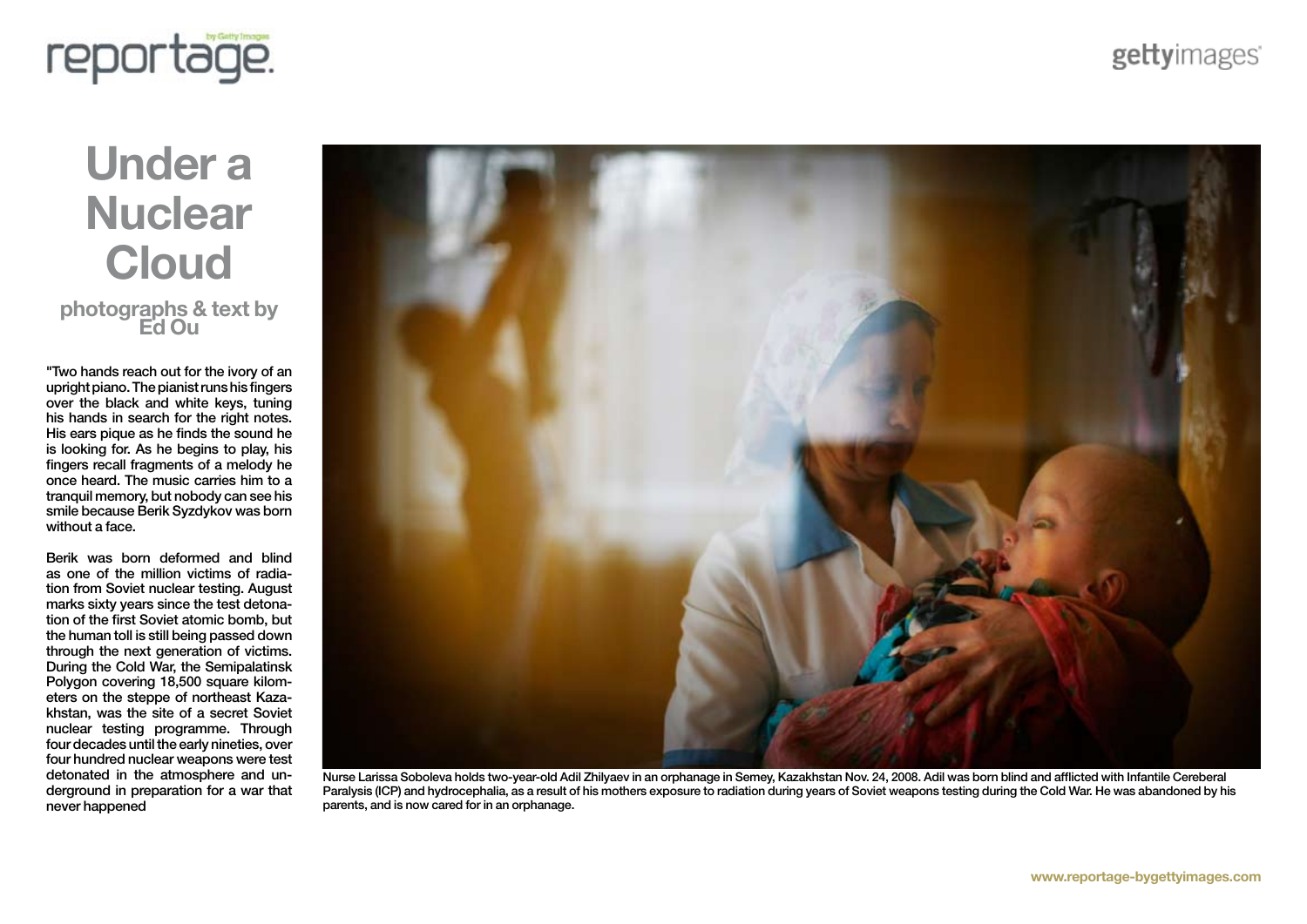

## **Under a Nuclear Cloud photographs & text by Ed Ou**

"Two hands reach out for the ivory of an upright piano. The pianist runs his fingers over the black and white keys, tuning his hands in search for the right notes. His ears pique as he finds the sound he is looking for. As he begins to play, his fingers recall fragments of a melody he once heard. The music carries him to a tranquil memory, but nobody can see his smile because Berik Syzdykov was born without a face.

Berik was born deformed and blind as one of the million victims of radiation from Soviet nuclear testing. August marks sixty years since the test detonation of the first Soviet atomic bomb, but the human toll is still being passed down through the next generation of victims. During the Cold War, the Semipalatinsk Polygon covering 18,500 square kilometers on the steppe of northeast Kazakhstan, was the site of a secret Soviet nuclear testing programme. Through four decades until the early nineties, over four hundred nuclear weapons were test detonated in the atmosphere and underground in preparation for a war that never happened



Nurse Larissa Soboleva holds two-year-old Adil Zhilyaev in an orphanage in Semey, Kazakhstan Nov. 24, 2008. Adil was born blind and afflicted with Infantile Cereberal Paralysis (ICP) and hydrocephalia, as a result of his mothers exposure to radiation during years of Soviet weapons testing during the Cold War. He was abandoned by his parents, and is now cared for in an orphanage.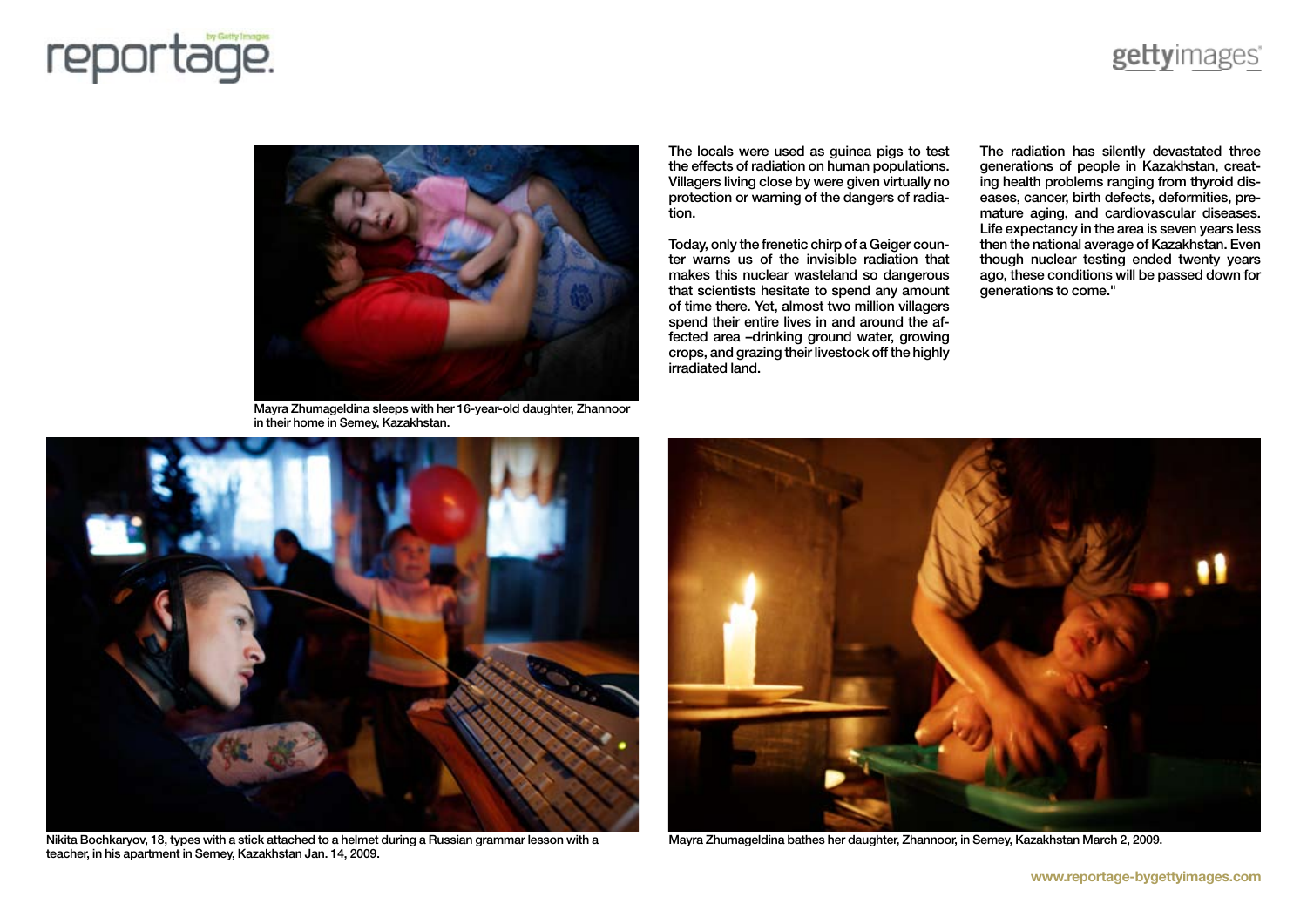



Mayra Zhumageldina sleeps with her 16-year-old daughter, Zhannoor in their home in Semey, Kazakhstan.

The locals were used as guinea pigs to test the effects of radiation on human populations. Villagers living close by were given virtually no protection or warning of the dangers of radiation.

Today, only the frenetic chirp of a Geiger counter warns us of the invisible radiation that makes this nuclear wasteland so dangerous that scientists hesitate to spend any amount of time there. Yet, almost two million villagers spend their entire lives in and around the affected area –drinking ground water, growing crops, and grazing their livestock off the highly irradiated land.

The radiation has silently devastated three generations of people in Kazakhstan, creating health problems ranging from thyroid diseases, cancer, birth defects, deformities, premature aging, and cardiovascular diseases. Life expectancy in the area is seven years less then the national average of Kazakhstan. Even though nuclear testing ended twenty years ago, these conditions will be passed down for generations to come."



Nikita Bochkaryov, 18, types with a stick attached to a helmet during a Russian grammar lesson with a teacher, in his apartment in Semey, Kazakhstan Jan. 14, 2009.



Mayra Zhumageldina bathes her daughter, Zhannoor, in Semey, Kazakhstan March 2, 2009.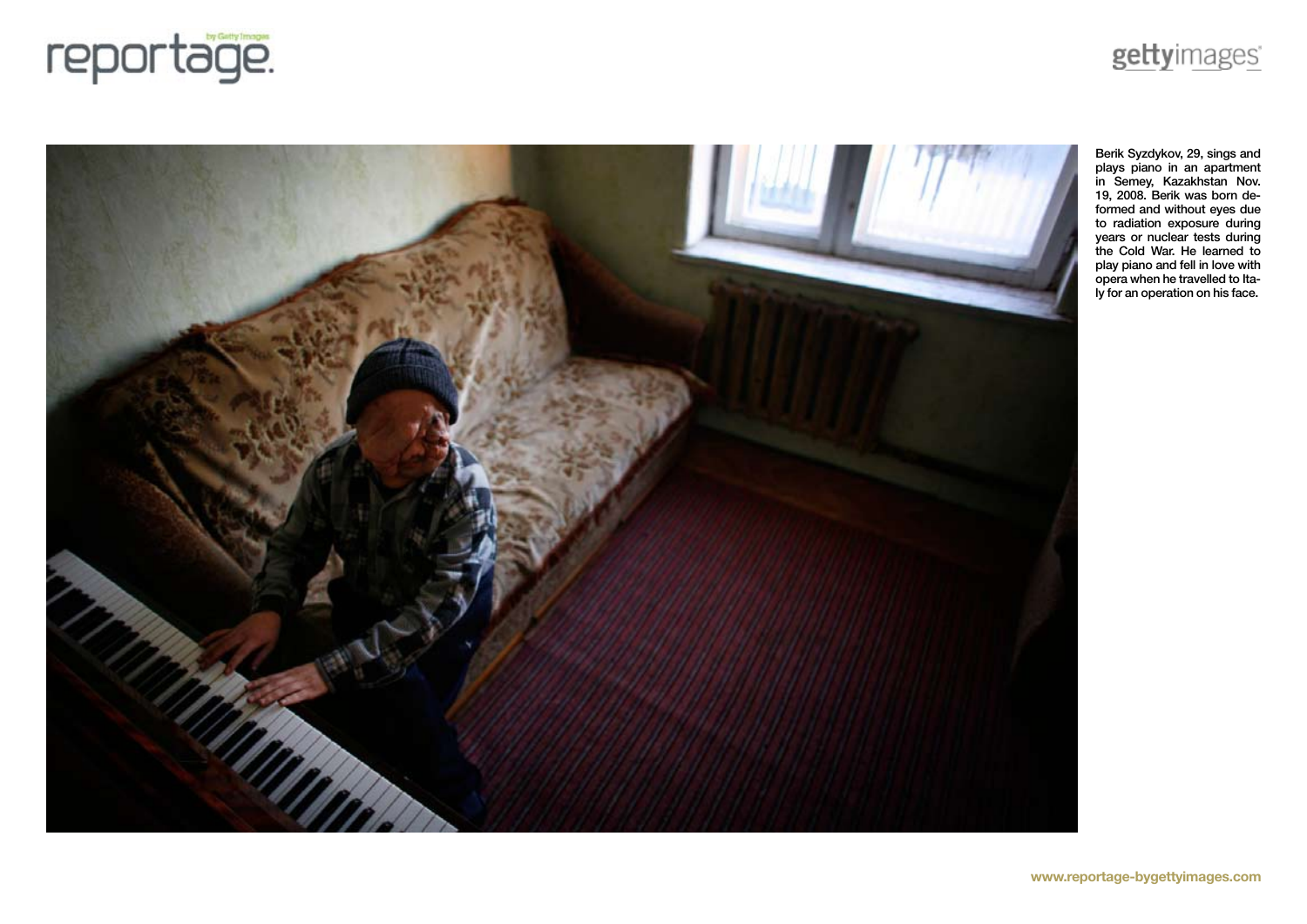



## **www.reportage-bygettyimages.com**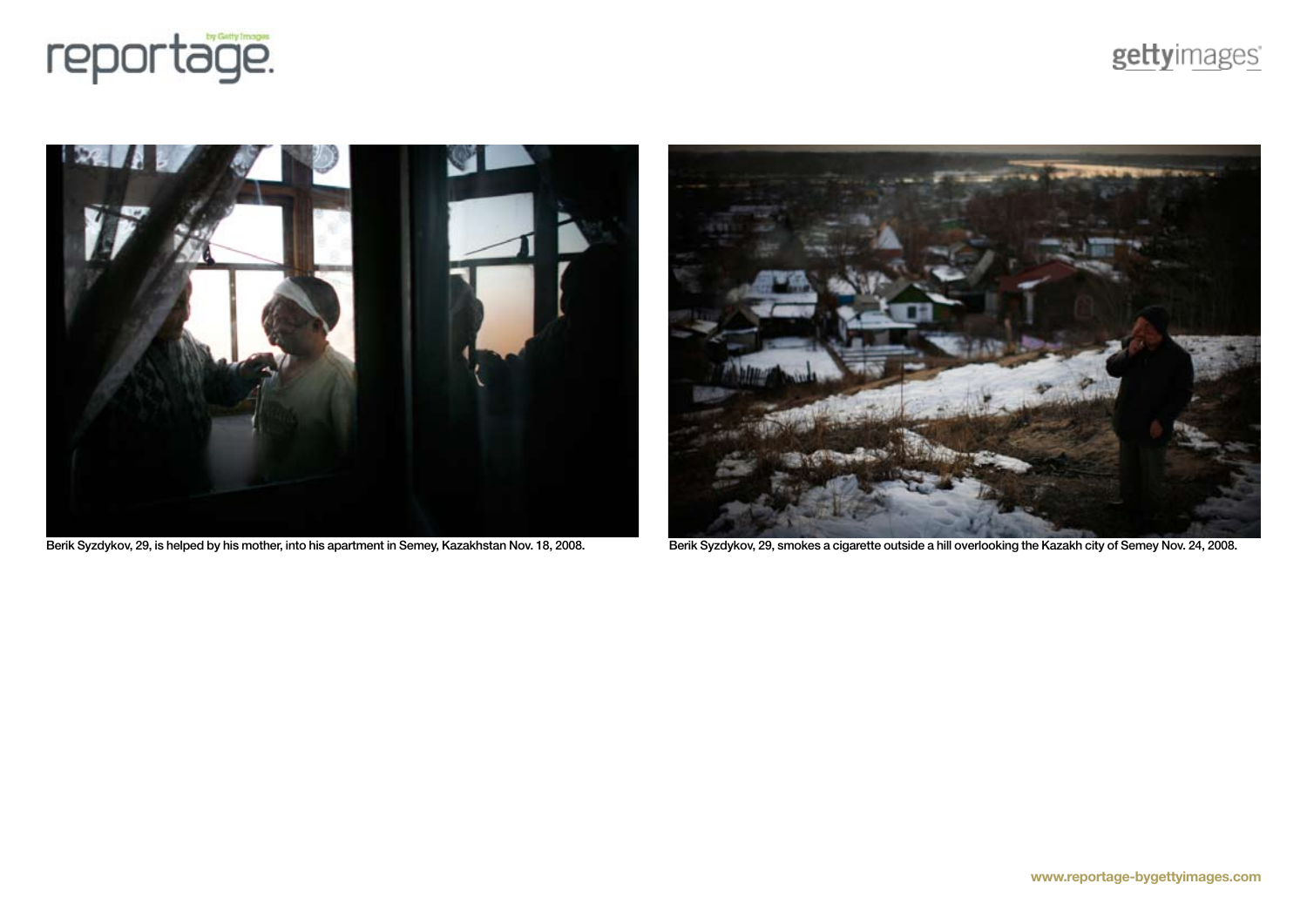







Berik Syzdykov, 29, is helped by his mother, into his apartment in Semey, Kazakhstan Nov. 18, 2008. Berik Syzdykov, 29, smokes a cigarette outside a hill overlooking the Kazakh city of Semey Nov. 24, 2008.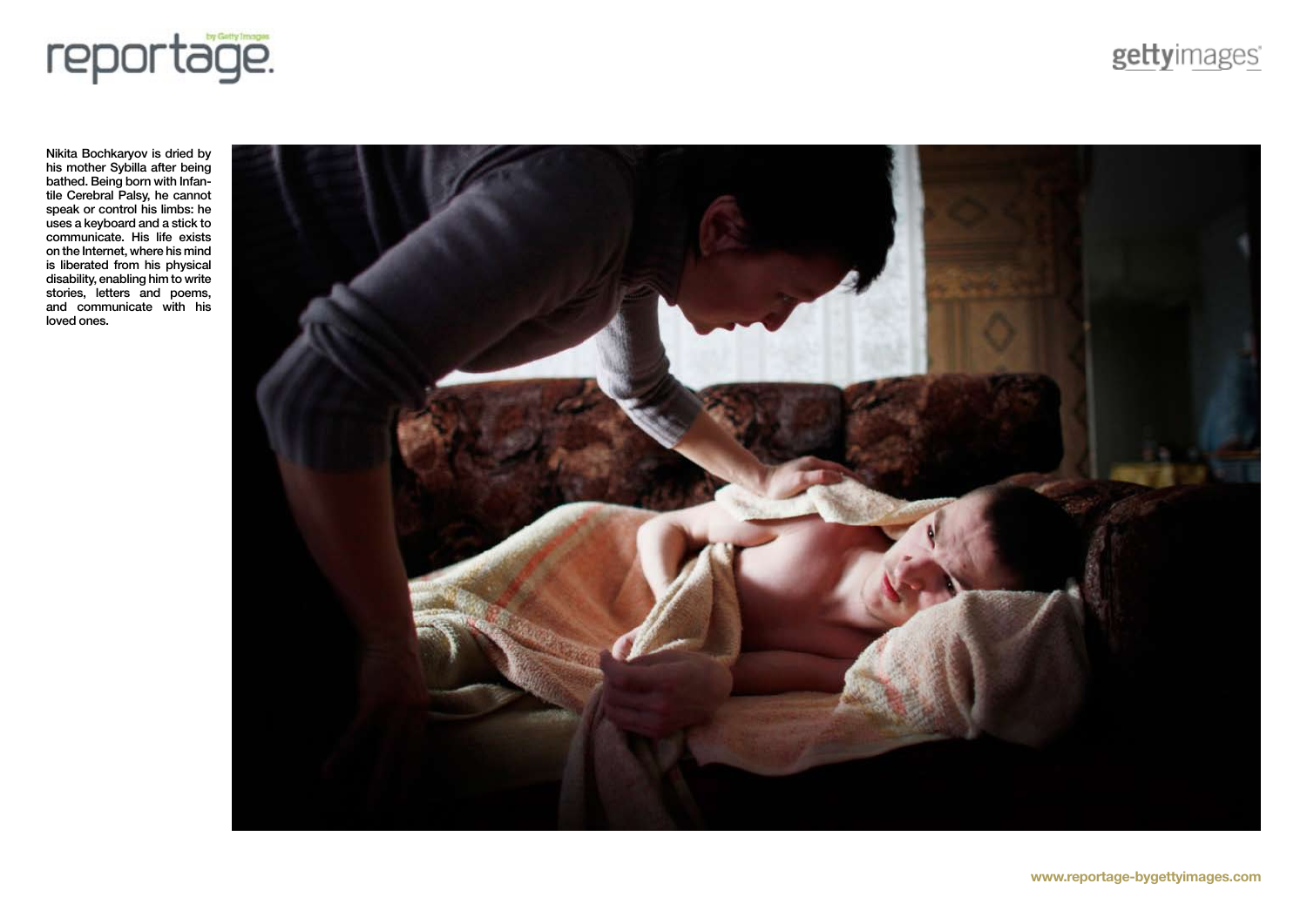

Nikita Bochkaryov is dried by his mother Sybilla after being bathed. Being born with Infantile Cerebral Palsy, he cannot speak or control his limbs: he uses a keyboard and a stick to communicate. His life exists on the Internet, where his mind is liberated from his physical disability, enabling him to write stories, letters and poems, and communicate with his loved ones.

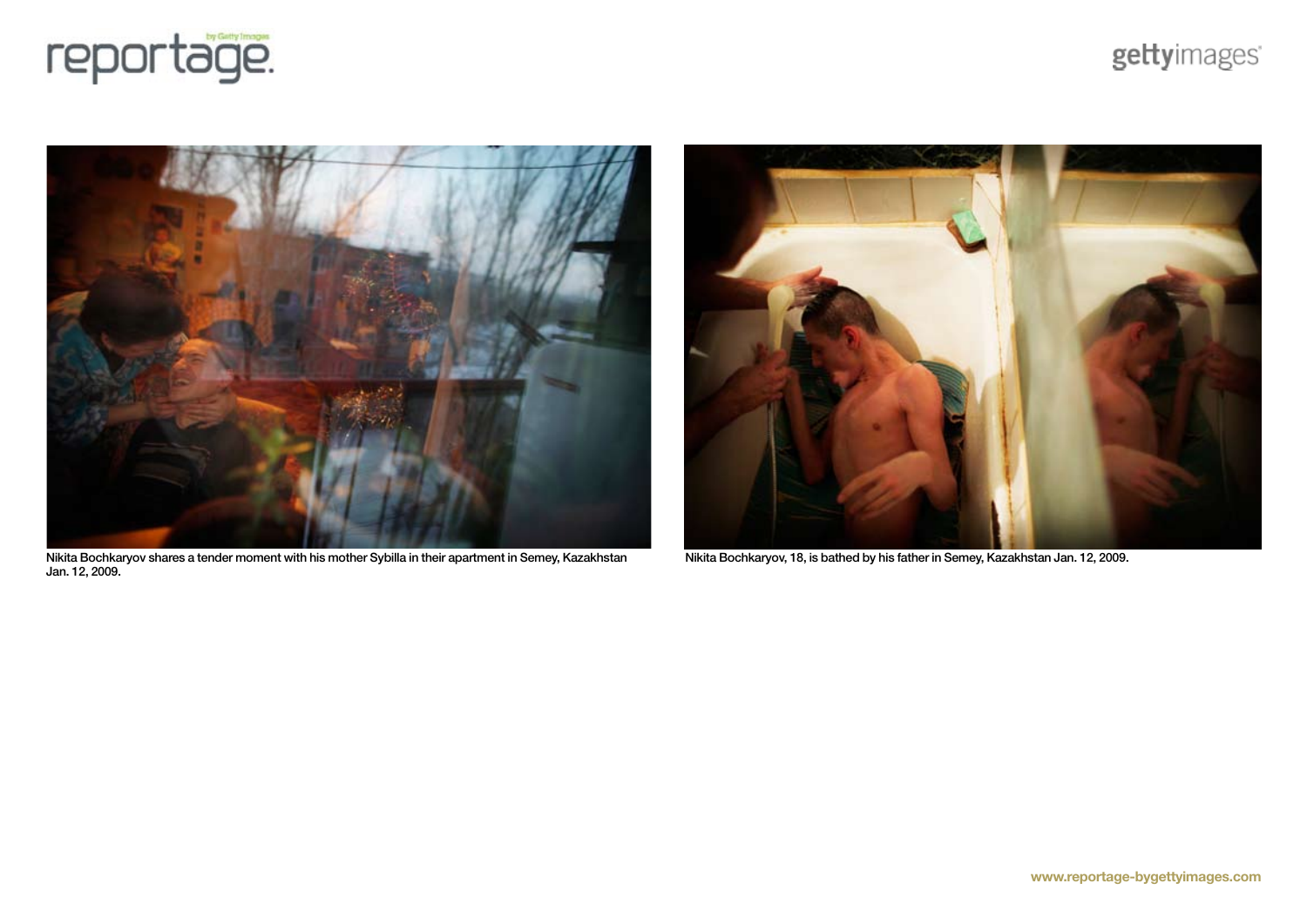



Nikita Bochkaryov shares a tender moment with his mother Sybilla in their apartment in Semey, Kazakhstan Jan. 12, 2009.



Nikita Bochkaryov, 18, is bathed by his father in Semey, Kazakhstan Jan. 12, 2009.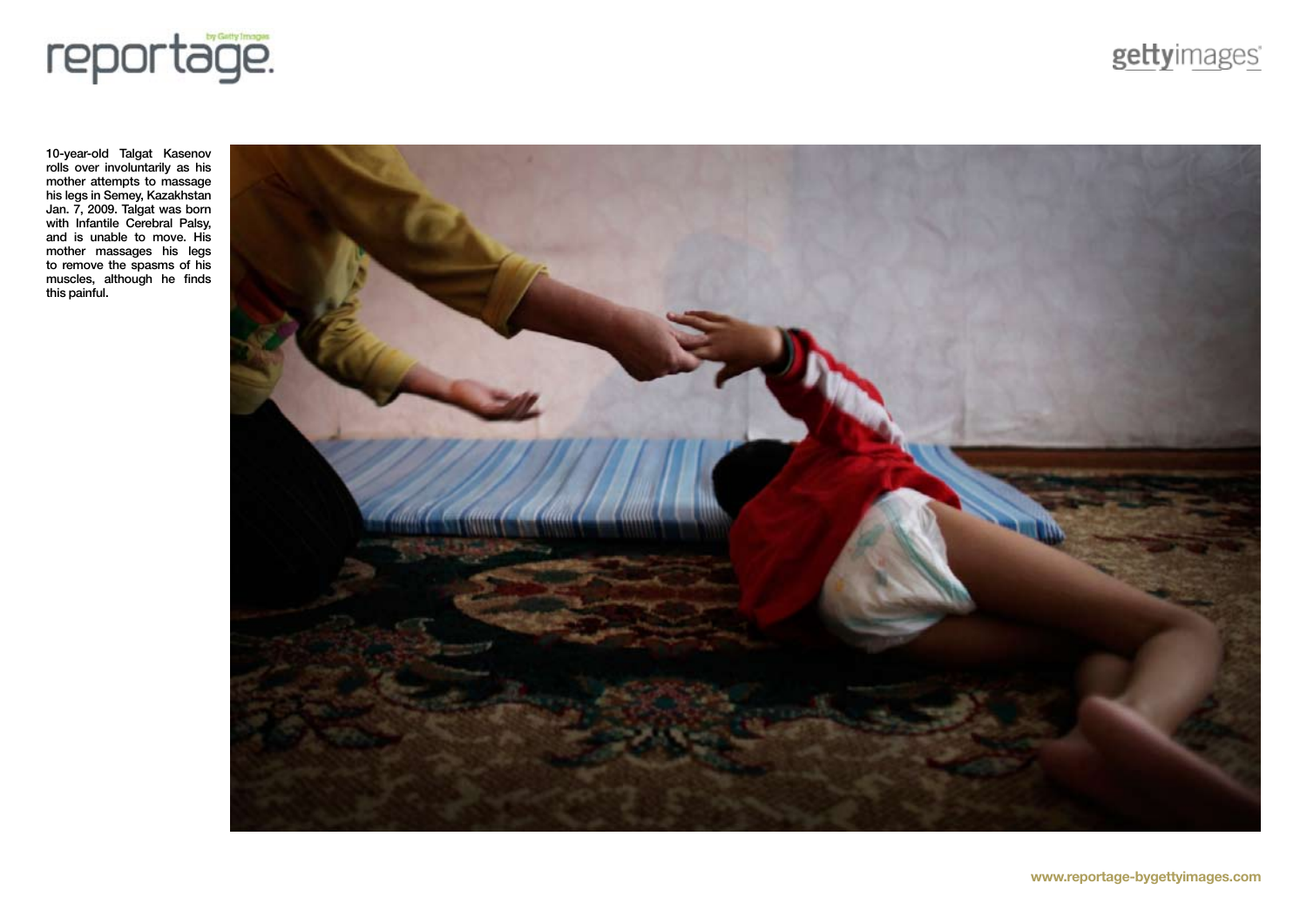

10-year-old Talgat Kasenov rolls over involuntarily as his mother attempts to massage his legs in Semey, Kazakhstan Jan. 7, 2009. Talgat was born with Infantile Cerebral Palsy, and is unable to move. His mother massages his legs to remove the spasms of his muscles, although he finds this painful.



gettyimages'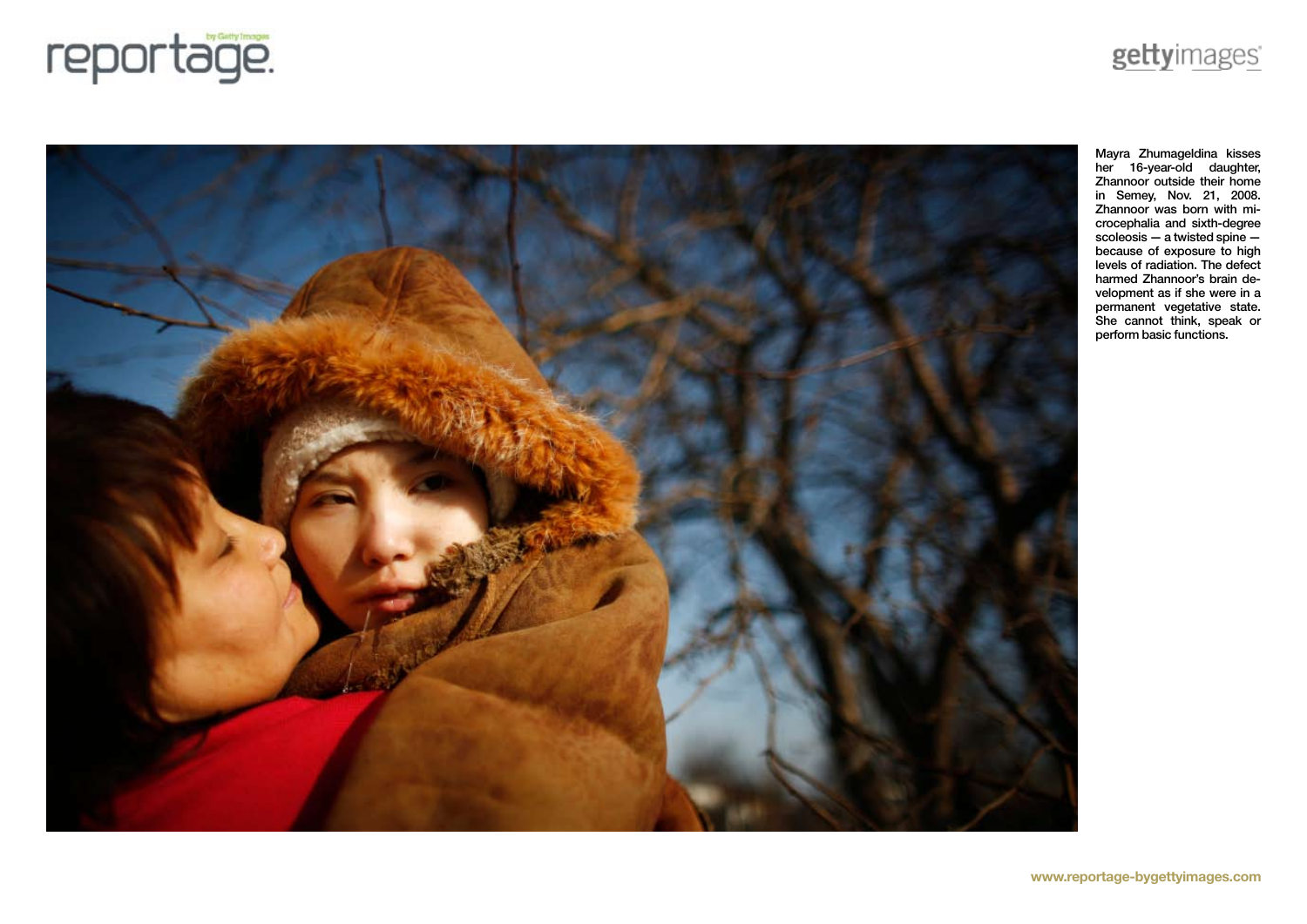



Mayra Zhumageldina kisses her 16-year-old daughter, Zhannoor outside their home in Semey, Nov. 21, 2008. Zhannoor was born with microcephalia and sixth-degree scoleosis — a twisted spine because of exposure to high levels of radiation. The defect harmed Zhannoor's brain development as if she were in a permanent vegetative state. She cannot think, speak or perform basic functions.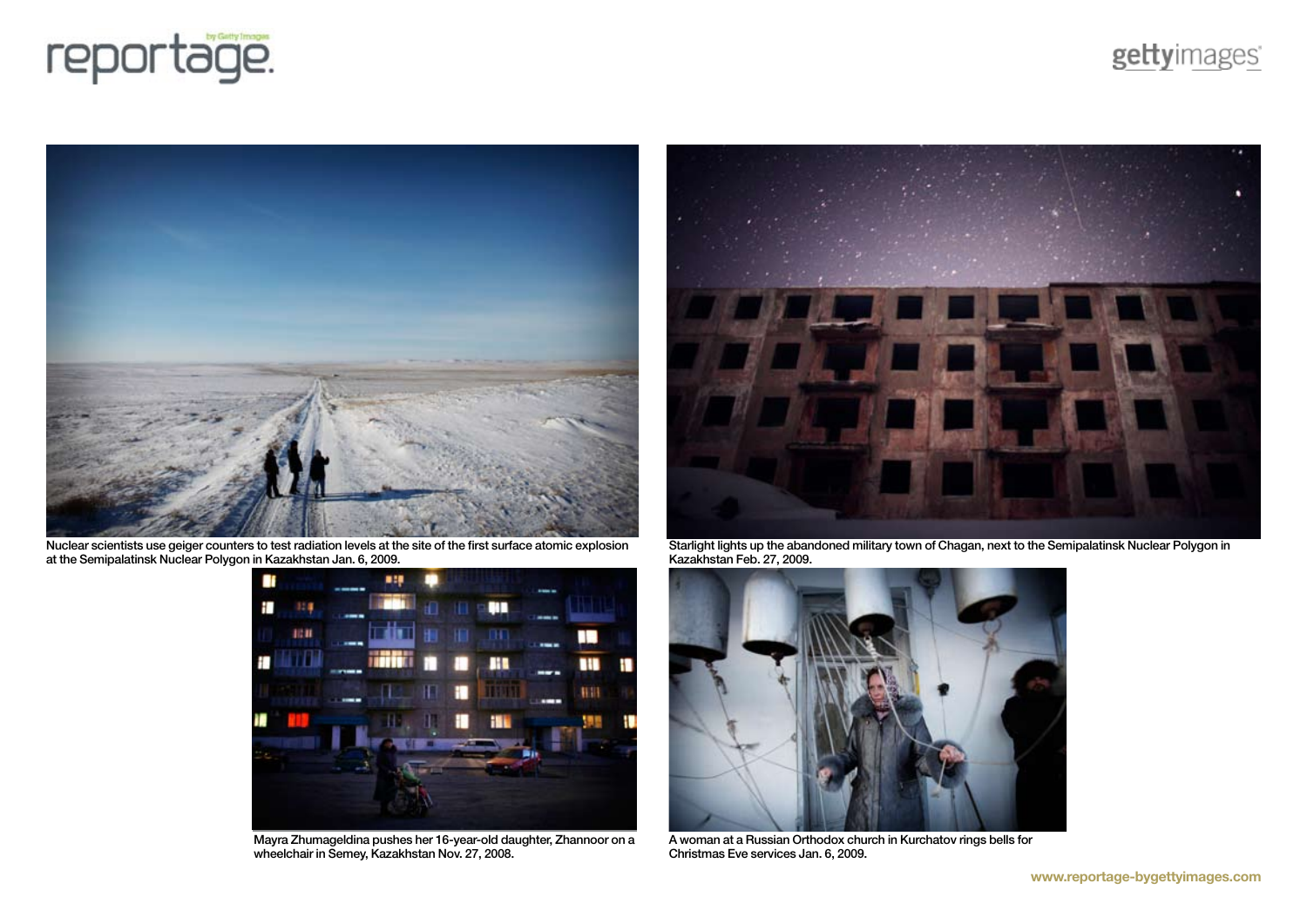![](_page_8_Picture_0.jpeg)

geltyimages

![](_page_8_Picture_2.jpeg)

Nuclear scientists use geiger counters to test radiation levels at the site of the first surface atomic explosion at the Semipalatinsk Nuclear Polygon in Kazakhstan Jan. 6, 2009.

![](_page_8_Picture_4.jpeg)

Mayra Zhumageldina pushes her 16-year-old daughter, Zhannoor on a wheelchair in Semey, Kazakhstan Nov. 27, 2008.

![](_page_8_Picture_6.jpeg)

Starlight lights up the abandoned military town of Chagan, next to the Semipalatinsk Nuclear Polygon in Kazakhstan Feb. 27, 2009.

![](_page_8_Picture_8.jpeg)

A woman at a Russian Orthodox church in Kurchatov rings bells for Christmas Eve services Jan. 6, 2009.